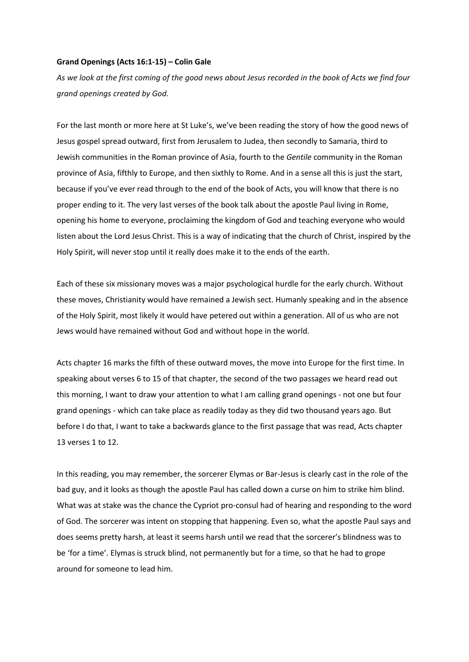## **Grand Openings (Acts 16:1-15) – Colin Gale**

*As we look at the first coming of the good news about Jesus recorded in the book of Acts we find four grand openings created by God.*

For the last month or more here at St Luke's, we've been reading the story of how the good news of Jesus gospel spread outward, first from Jerusalem to Judea, then secondly to Samaria, third to Jewish communities in the Roman province of Asia, fourth to the *Gentile* community in the Roman province of Asia, fifthly to Europe, and then sixthly to Rome. And in a sense all this is just the start, because if you've ever read through to the end of the book of Acts, you will know that there is no proper ending to it. The very last verses of the book talk about the apostle Paul living in Rome, opening his home to everyone, proclaiming the kingdom of God and teaching everyone who would listen about the Lord Jesus Christ. This is a way of indicating that the church of Christ, inspired by the Holy Spirit, will never stop until it really does make it to the ends of the earth.

Each of these six missionary moves was a major psychological hurdle for the early church. Without these moves, Christianity would have remained a Jewish sect. Humanly speaking and in the absence of the Holy Spirit, most likely it would have petered out within a generation. All of us who are not Jews would have remained without God and without hope in the world.

Acts chapter 16 marks the fifth of these outward moves, the move into Europe for the first time. In speaking about verses 6 to 15 of that chapter, the second of the two passages we heard read out this morning, I want to draw your attention to what I am calling grand openings - not one but four grand openings - which can take place as readily today as they did two thousand years ago. But before I do that, I want to take a backwards glance to the first passage that was read, Acts chapter 13 verses 1 to 12.

In this reading, you may remember, the sorcerer Elymas or Bar-Jesus is clearly cast in the role of the bad guy, and it looks as though the apostle Paul has called down a curse on him to strike him blind. What was at stake was the chance the Cypriot pro-consul had of hearing and responding to the word of God. The sorcerer was intent on stopping that happening. Even so, what the apostle Paul says and does seems pretty harsh, at least it seems harsh until we read that the sorcerer's blindness was to be 'for a time'. Elymas is struck blind, not permanently but for a time, so that he had to grope around for someone to lead him.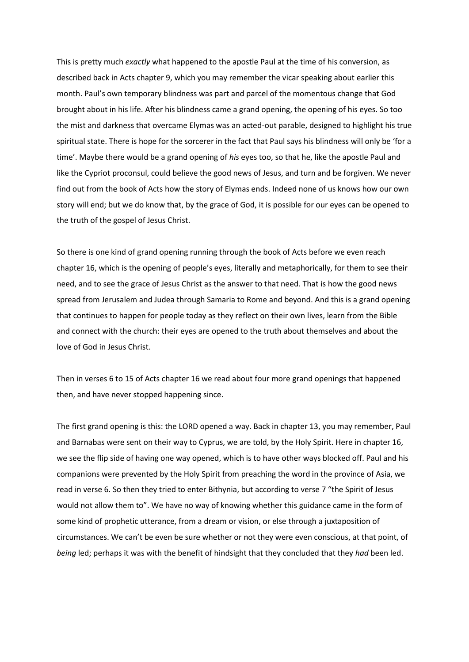This is pretty much *exactly* what happened to the apostle Paul at the time of his conversion, as described back in Acts chapter 9, which you may remember the vicar speaking about earlier this month. Paul's own temporary blindness was part and parcel of the momentous change that God brought about in his life. After his blindness came a grand opening, the opening of his eyes. So too the mist and darkness that overcame Elymas was an acted-out parable, designed to highlight his true spiritual state. There is hope for the sorcerer in the fact that Paul says his blindness will only be 'for a time'. Maybe there would be a grand opening of *his* eyes too, so that he, like the apostle Paul and like the Cypriot proconsul, could believe the good news of Jesus, and turn and be forgiven. We never find out from the book of Acts how the story of Elymas ends. Indeed none of us knows how our own story will end; but we do know that, by the grace of God, it is possible for our eyes can be opened to the truth of the gospel of Jesus Christ.

So there is one kind of grand opening running through the book of Acts before we even reach chapter 16, which is the opening of people's eyes, literally and metaphorically, for them to see their need, and to see the grace of Jesus Christ as the answer to that need. That is how the good news spread from Jerusalem and Judea through Samaria to Rome and beyond. And this is a grand opening that continues to happen for people today as they reflect on their own lives, learn from the Bible and connect with the church: their eyes are opened to the truth about themselves and about the love of God in Jesus Christ.

Then in verses 6 to 15 of Acts chapter 16 we read about four more grand openings that happened then, and have never stopped happening since.

The first grand opening is this: the LORD opened a way. Back in chapter 13, you may remember, Paul and Barnabas were sent on their way to Cyprus, we are told, by the Holy Spirit. Here in chapter 16, we see the flip side of having one way opened, which is to have other ways blocked off. Paul and his companions were prevented by the Holy Spirit from preaching the word in the province of Asia, we read in verse 6. So then they tried to enter Bithynia, but according to verse 7 "the Spirit of Jesus would not allow them to". We have no way of knowing whether this guidance came in the form of some kind of prophetic utterance, from a dream or vision, or else through a juxtaposition of circumstances. We can't be even be sure whether or not they were even conscious, at that point, of *being* led; perhaps it was with the benefit of hindsight that they concluded that they *had* been led.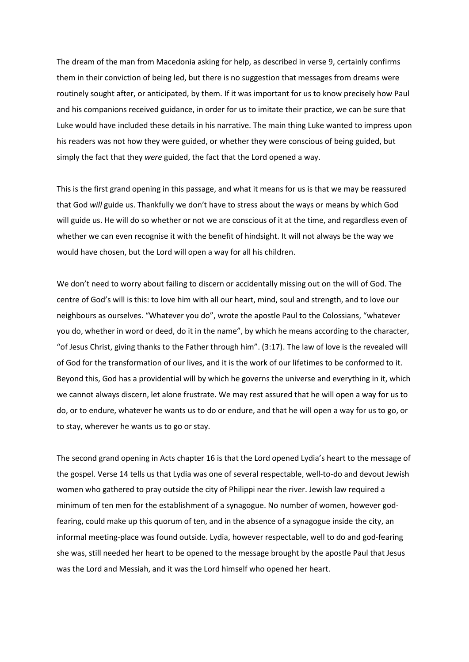The dream of the man from Macedonia asking for help, as described in verse 9, certainly confirms them in their conviction of being led, but there is no suggestion that messages from dreams were routinely sought after, or anticipated, by them. If it was important for us to know precisely how Paul and his companions received guidance, in order for us to imitate their practice, we can be sure that Luke would have included these details in his narrative. The main thing Luke wanted to impress upon his readers was not how they were guided, or whether they were conscious of being guided, but simply the fact that they *were* guided, the fact that the Lord opened a way.

This is the first grand opening in this passage, and what it means for us is that we may be reassured that God *will* guide us. Thankfully we don't have to stress about the ways or means by which God will guide us. He will do so whether or not we are conscious of it at the time, and regardless even of whether we can even recognise it with the benefit of hindsight. It will not always be the way we would have chosen, but the Lord will open a way for all his children.

We don't need to worry about failing to discern or accidentally missing out on the will of God. The centre of God's will is this: to love him with all our heart, mind, soul and strength, and to love our neighbours as ourselves. "Whatever you do", wrote the apostle Paul to the Colossians, "whatever you do, whether in word or deed, do it in the name", by which he means according to the character, "of Jesus Christ, giving thanks to the Father through him". (3:17). The law of love is the revealed will of God for the transformation of our lives, and it is the work of our lifetimes to be conformed to it. Beyond this, God has a providential will by which he governs the universe and everything in it, which we cannot always discern, let alone frustrate. We may rest assured that he will open a way for us to do, or to endure, whatever he wants us to do or endure, and that he will open a way for us to go, or to stay, wherever he wants us to go or stay.

The second grand opening in Acts chapter 16 is that the Lord opened Lydia's heart to the message of the gospel. Verse 14 tells us that Lydia was one of several respectable, well-to-do and devout Jewish women who gathered to pray outside the city of Philippi near the river. Jewish law required a minimum of ten men for the establishment of a synagogue. No number of women, however godfearing, could make up this quorum of ten, and in the absence of a synagogue inside the city, an informal meeting-place was found outside. Lydia, however respectable, well to do and god-fearing she was, still needed her heart to be opened to the message brought by the apostle Paul that Jesus was the Lord and Messiah, and it was the Lord himself who opened her heart.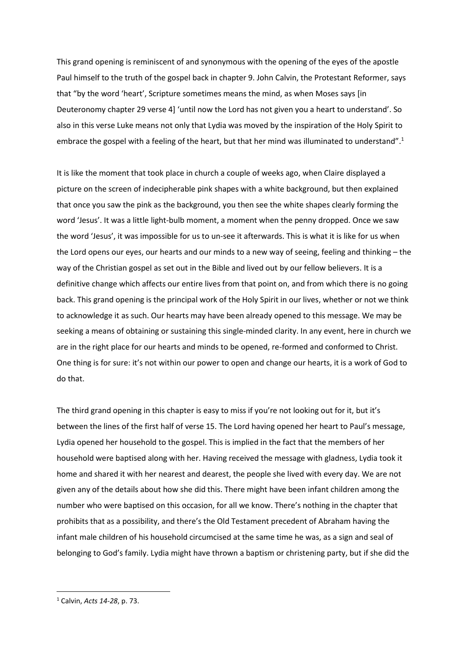This grand opening is reminiscent of and synonymous with the opening of the eyes of the apostle Paul himself to the truth of the gospel back in chapter 9. John Calvin, the Protestant Reformer, says that "by the word 'heart', Scripture sometimes means the mind, as when Moses says [in Deuteronomy chapter 29 verse 4] 'until now the Lord has not given you a heart to understand'. So also in this verse Luke means not only that Lydia was moved by the inspiration of the Holy Spirit to embrace the gospel with a feeling of the heart, but that her mind was illuminated to understand".<sup>1</sup>

It is like the moment that took place in church a couple of weeks ago, when Claire displayed a picture on the screen of indecipherable pink shapes with a white background, but then explained that once you saw the pink as the background, you then see the white shapes clearly forming the word 'Jesus'. It was a little light-bulb moment, a moment when the penny dropped. Once we saw the word 'Jesus', it was impossible for us to un-see it afterwards. This is what it is like for us when the Lord opens our eyes, our hearts and our minds to a new way of seeing, feeling and thinking – the way of the Christian gospel as set out in the Bible and lived out by our fellow believers. It is a definitive change which affects our entire lives from that point on, and from which there is no going back. This grand opening is the principal work of the Holy Spirit in our lives, whether or not we think to acknowledge it as such. Our hearts may have been already opened to this message. We may be seeking a means of obtaining or sustaining this single-minded clarity. In any event, here in church we are in the right place for our hearts and minds to be opened, re-formed and conformed to Christ. One thing is for sure: it's not within our power to open and change our hearts, it is a work of God to do that.

The third grand opening in this chapter is easy to miss if you're not looking out for it, but it's between the lines of the first half of verse 15. The Lord having opened her heart to Paul's message, Lydia opened her household to the gospel. This is implied in the fact that the members of her household were baptised along with her. Having received the message with gladness, Lydia took it home and shared it with her nearest and dearest, the people she lived with every day. We are not given any of the details about how she did this. There might have been infant children among the number who were baptised on this occasion, for all we know. There's nothing in the chapter that prohibits that as a possibility, and there's the Old Testament precedent of Abraham having the infant male children of his household circumcised at the same time he was, as a sign and seal of belonging to God's family. Lydia might have thrown a baptism or christening party, but if she did the

<sup>1</sup> Calvin, *Acts 14-28*, p. 73.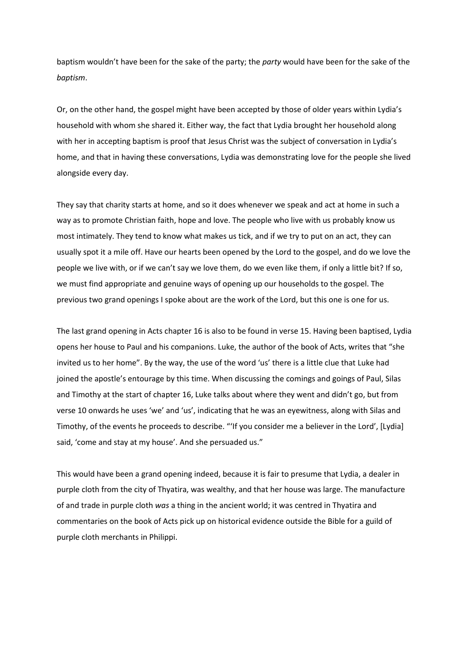baptism wouldn't have been for the sake of the party; the *party* would have been for the sake of the *baptism*.

Or, on the other hand, the gospel might have been accepted by those of older years within Lydia's household with whom she shared it. Either way, the fact that Lydia brought her household along with her in accepting baptism is proof that Jesus Christ was the subject of conversation in Lydia's home, and that in having these conversations, Lydia was demonstrating love for the people she lived alongside every day.

They say that charity starts at home, and so it does whenever we speak and act at home in such a way as to promote Christian faith, hope and love. The people who live with us probably know us most intimately. They tend to know what makes us tick, and if we try to put on an act, they can usually spot it a mile off. Have our hearts been opened by the Lord to the gospel, and do we love the people we live with, or if we can't say we love them, do we even like them, if only a little bit? If so, we must find appropriate and genuine ways of opening up our households to the gospel. The previous two grand openings I spoke about are the work of the Lord, but this one is one for us.

The last grand opening in Acts chapter 16 is also to be found in verse 15. Having been baptised, Lydia opens her house to Paul and his companions. Luke, the author of the book of Acts, writes that "she invited us to her home". By the way, the use of the word 'us' there is a little clue that Luke had joined the apostle's entourage by this time. When discussing the comings and goings of Paul, Silas and Timothy at the start of chapter 16, Luke talks about where they went and didn't go, but from verse 10 onwards he uses 'we' and 'us', indicating that he was an eyewitness, along with Silas and Timothy, of the events he proceeds to describe. "'If you consider me a believer in the Lord', [Lydia] said, 'come and stay at my house'. And she persuaded us."

This would have been a grand opening indeed, because it is fair to presume that Lydia, a dealer in purple cloth from the city of Thyatira, was wealthy, and that her house was large. The manufacture of and trade in purple cloth *was* a thing in the ancient world; it was centred in Thyatira and commentaries on the book of Acts pick up on historical evidence outside the Bible for a guild of purple cloth merchants in Philippi.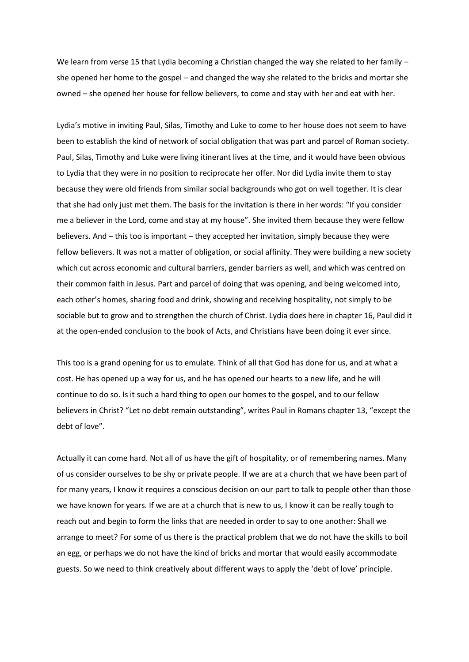We learn from verse 15 that Lydia becoming a Christian changed the way she related to her family she opened her home to the gospel – and changed the way she related to the bricks and mortar she owned – she opened her house for fellow believers, to come and stay with her and eat with her.

Lydia's motive in inviting Paul, Silas, Timothy and Luke to come to her house does not seem to have been to establish the kind of network of social obligation that was part and parcel of Roman society. Paul, Silas, Timothy and Luke were living itinerant lives at the time, and it would have been obvious to Lydia that they were in no position to reciprocate her offer. Nor did Lydia invite them to stay because they were old friends from similar social backgrounds who got on well together. It is clear that she had only just met them. The basis for the invitation is there in her words: "If you consider me a believer in the Lord, come and stay at my house". She invited them because they were fellow believers. And – this too is important – they accepted her invitation, simply because they were fellow believers. It was not a matter of obligation, or social affinity. They were building a new society which cut across economic and cultural barriers, gender barriers as well, and which was centred on their common faith in Jesus. Part and parcel of doing that was opening, and being welcomed into, each other's homes, sharing food and drink, showing and receiving hospitality, not simply to be sociable but to grow and to strengthen the church of Christ. Lydia does here in chapter 16, Paul did it at the open-ended conclusion to the book of Acts, and Christians have been doing it ever since.

This too is a grand opening for us to emulate. Think of all that God has done for us, and at what a cost. He has opened up a way for us, and he has opened our hearts to a new life, and he will continue to do so. Is it such a hard thing to open our homes to the gospel, and to our fellow believers in Christ? "Let no debt remain outstanding", writes Paul in Romans chapter 13, "except the debt of love".

Actually it can come hard. Not all of us have the gift of hospitality, or of remembering names. Many of us consider ourselves to be shy or private people. If we are at a church that we have been part of for many years, I know it requires a conscious decision on our part to talk to people other than those we have known for years. If we are at a church that is new to us, I know it can be really tough to reach out and begin to form the links that are needed in order to say to one another: Shall we arrange to meet? For some of us there is the practical problem that we do not have the skills to boil an egg, or perhaps we do not have the kind of bricks and mortar that would easily accommodate guests. So we need to think creatively about different ways to apply the 'debt of love' principle.